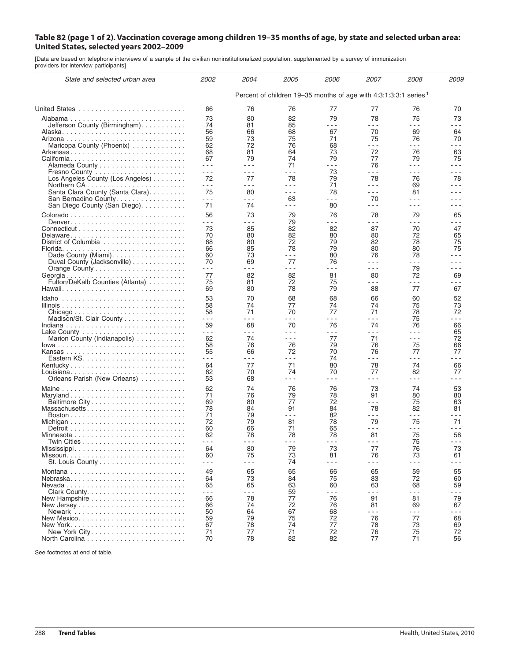## Table 82 (page 1 of 2). Vaccination coverage among children 19-35 months of age, by state and selected urban area: **United States, selected years 2002–2009**

[Data are based on telephone interviews of a sample of the civilian noninstitutionalized population, supplemented by a survey of immunization providers for interview participants]

| State and selected urban area                                           | <i>2002</i>                                                                  | 2004                                                                                                                                                                                                                                                                                                                                                                                         | <i>2005</i>                                                                                                                                                                                                                                                                                                                                                                                        | <i>2006</i>                                                                                                                                                                                                                                                                                                                                                                                  | 2007                                                                                                                                                                                                                                                                                                                                                                                         | 2008          | <i>2009</i>   |  |  |
|-------------------------------------------------------------------------|------------------------------------------------------------------------------|----------------------------------------------------------------------------------------------------------------------------------------------------------------------------------------------------------------------------------------------------------------------------------------------------------------------------------------------------------------------------------------------|----------------------------------------------------------------------------------------------------------------------------------------------------------------------------------------------------------------------------------------------------------------------------------------------------------------------------------------------------------------------------------------------------|----------------------------------------------------------------------------------------------------------------------------------------------------------------------------------------------------------------------------------------------------------------------------------------------------------------------------------------------------------------------------------------------|----------------------------------------------------------------------------------------------------------------------------------------------------------------------------------------------------------------------------------------------------------------------------------------------------------------------------------------------------------------------------------------------|---------------|---------------|--|--|
|                                                                         | Percent of children 19–35 months of age with 4:3:1:3:3:1 series <sup>1</sup> |                                                                                                                                                                                                                                                                                                                                                                                              |                                                                                                                                                                                                                                                                                                                                                                                                    |                                                                                                                                                                                                                                                                                                                                                                                              |                                                                                                                                                                                                                                                                                                                                                                                              |               |               |  |  |
|                                                                         | 66                                                                           | 76                                                                                                                                                                                                                                                                                                                                                                                           | 76                                                                                                                                                                                                                                                                                                                                                                                                 | 77                                                                                                                                                                                                                                                                                                                                                                                           | 77                                                                                                                                                                                                                                                                                                                                                                                           | 76            | 70            |  |  |
|                                                                         | 73                                                                           | 80                                                                                                                                                                                                                                                                                                                                                                                           | 82                                                                                                                                                                                                                                                                                                                                                                                                 | 79                                                                                                                                                                                                                                                                                                                                                                                           | 78                                                                                                                                                                                                                                                                                                                                                                                           | 75            | 73            |  |  |
| Jefferson County (Birmingham).                                          | 74                                                                           | 81                                                                                                                                                                                                                                                                                                                                                                                           | 85                                                                                                                                                                                                                                                                                                                                                                                                 | $- - -$                                                                                                                                                                                                                                                                                                                                                                                      | $ -$                                                                                                                                                                                                                                                                                                                                                                                         | $- - -$       | - - -         |  |  |
|                                                                         | 56                                                                           | 66                                                                                                                                                                                                                                                                                                                                                                                           | 68                                                                                                                                                                                                                                                                                                                                                                                                 | 67                                                                                                                                                                                                                                                                                                                                                                                           | 70                                                                                                                                                                                                                                                                                                                                                                                           | 69            | 64            |  |  |
|                                                                         | 59                                                                           | 73                                                                                                                                                                                                                                                                                                                                                                                           | 75                                                                                                                                                                                                                                                                                                                                                                                                 | 71                                                                                                                                                                                                                                                                                                                                                                                           | 75                                                                                                                                                                                                                                                                                                                                                                                           | 76            | 70            |  |  |
| Maricopa County (Phoenix)                                               | 62                                                                           | 72                                                                                                                                                                                                                                                                                                                                                                                           | 76                                                                                                                                                                                                                                                                                                                                                                                                 | 68                                                                                                                                                                                                                                                                                                                                                                                           | $- - -$                                                                                                                                                                                                                                                                                                                                                                                      | $  -$         | $- - -$       |  |  |
| Arkansas                                                                | 68                                                                           | 81                                                                                                                                                                                                                                                                                                                                                                                           | 64                                                                                                                                                                                                                                                                                                                                                                                                 | 73                                                                                                                                                                                                                                                                                                                                                                                           | 72                                                                                                                                                                                                                                                                                                                                                                                           | 76            | 63            |  |  |
| California                                                              | 67                                                                           | 79                                                                                                                                                                                                                                                                                                                                                                                           | 74                                                                                                                                                                                                                                                                                                                                                                                                 | 79                                                                                                                                                                                                                                                                                                                                                                                           | 77                                                                                                                                                                                                                                                                                                                                                                                           | 79            | 75            |  |  |
|                                                                         | $  -$                                                                        | $\sim$ $\sim$ $\sim$                                                                                                                                                                                                                                                                                                                                                                         | 71                                                                                                                                                                                                                                                                                                                                                                                                 | $- - -$                                                                                                                                                                                                                                                                                                                                                                                      | 76                                                                                                                                                                                                                                                                                                                                                                                           | $- - -$       | $  -$         |  |  |
|                                                                         | $  -$                                                                        | $- - -$                                                                                                                                                                                                                                                                                                                                                                                      | $\frac{1}{2} \frac{1}{2} \frac{1}{2} \frac{1}{2} \frac{1}{2} \frac{1}{2} \frac{1}{2} \frac{1}{2} \frac{1}{2} \frac{1}{2} \frac{1}{2} \frac{1}{2} \frac{1}{2} \frac{1}{2} \frac{1}{2} \frac{1}{2} \frac{1}{2} \frac{1}{2} \frac{1}{2} \frac{1}{2} \frac{1}{2} \frac{1}{2} \frac{1}{2} \frac{1}{2} \frac{1}{2} \frac{1}{2} \frac{1}{2} \frac{1}{2} \frac{1}{2} \frac{1}{2} \frac{1}{2} \frac{$       | 73                                                                                                                                                                                                                                                                                                                                                                                           | - - -                                                                                                                                                                                                                                                                                                                                                                                        | - - -         | - - -         |  |  |
| Los Angeles County (Los Angeles)                                        | 72                                                                           | 77                                                                                                                                                                                                                                                                                                                                                                                           | 78                                                                                                                                                                                                                                                                                                                                                                                                 | 79                                                                                                                                                                                                                                                                                                                                                                                           | 78                                                                                                                                                                                                                                                                                                                                                                                           | 76            | 78            |  |  |
|                                                                         | $  -$                                                                        | - - -                                                                                                                                                                                                                                                                                                                                                                                        | $\sim$ $\sim$ $\sim$                                                                                                                                                                                                                                                                                                                                                                               | 71                                                                                                                                                                                                                                                                                                                                                                                           | $\sim$ $\sim$ $\sim$                                                                                                                                                                                                                                                                                                                                                                         | 69            | - - -         |  |  |
| Santa Clara County (Santa Clara)                                        | 75                                                                           | 80                                                                                                                                                                                                                                                                                                                                                                                           | $\sim$ $\sim$ $\sim$                                                                                                                                                                                                                                                                                                                                                                               | 78                                                                                                                                                                                                                                                                                                                                                                                           | - - -                                                                                                                                                                                                                                                                                                                                                                                        | 81            | - - -         |  |  |
| San Bernadino County.                                                   | $- - -$                                                                      | $  -$                                                                                                                                                                                                                                                                                                                                                                                        | 63                                                                                                                                                                                                                                                                                                                                                                                                 | - - -                                                                                                                                                                                                                                                                                                                                                                                        | 70                                                                                                                                                                                                                                                                                                                                                                                           | .             | - - -         |  |  |
| San Diego County (San Diego).                                           | 71                                                                           | 74                                                                                                                                                                                                                                                                                                                                                                                           | $\sim$ $\sim$ $\sim$                                                                                                                                                                                                                                                                                                                                                                               | 80                                                                                                                                                                                                                                                                                                                                                                                           | - - -                                                                                                                                                                                                                                                                                                                                                                                        | - - -         | .             |  |  |
|                                                                         | 56                                                                           | 73                                                                                                                                                                                                                                                                                                                                                                                           | 79                                                                                                                                                                                                                                                                                                                                                                                                 | 76                                                                                                                                                                                                                                                                                                                                                                                           | 78                                                                                                                                                                                                                                                                                                                                                                                           | 79            | 65            |  |  |
|                                                                         | - - -                                                                        | $  -$                                                                                                                                                                                                                                                                                                                                                                                        | 79                                                                                                                                                                                                                                                                                                                                                                                                 | - - -                                                                                                                                                                                                                                                                                                                                                                                        | - - -                                                                                                                                                                                                                                                                                                                                                                                        | - - -         | - - -         |  |  |
|                                                                         | 73                                                                           | 85                                                                                                                                                                                                                                                                                                                                                                                           | 82                                                                                                                                                                                                                                                                                                                                                                                                 | 82                                                                                                                                                                                                                                                                                                                                                                                           | 87                                                                                                                                                                                                                                                                                                                                                                                           | 70            | 47            |  |  |
| Delaware                                                                | 70                                                                           | 80                                                                                                                                                                                                                                                                                                                                                                                           | 82                                                                                                                                                                                                                                                                                                                                                                                                 | 80                                                                                                                                                                                                                                                                                                                                                                                           | 80                                                                                                                                                                                                                                                                                                                                                                                           | 72            | 65            |  |  |
|                                                                         | 68                                                                           | 80                                                                                                                                                                                                                                                                                                                                                                                           | 72                                                                                                                                                                                                                                                                                                                                                                                                 | 79                                                                                                                                                                                                                                                                                                                                                                                           | 82                                                                                                                                                                                                                                                                                                                                                                                           | 78            | 75            |  |  |
|                                                                         | 66                                                                           | 85                                                                                                                                                                                                                                                                                                                                                                                           | 78<br>$\frac{1}{2} \frac{1}{2} \frac{1}{2} \frac{1}{2} \frac{1}{2} \frac{1}{2} \frac{1}{2} \frac{1}{2} \frac{1}{2} \frac{1}{2} \frac{1}{2} \frac{1}{2} \frac{1}{2} \frac{1}{2} \frac{1}{2} \frac{1}{2} \frac{1}{2} \frac{1}{2} \frac{1}{2} \frac{1}{2} \frac{1}{2} \frac{1}{2} \frac{1}{2} \frac{1}{2} \frac{1}{2} \frac{1}{2} \frac{1}{2} \frac{1}{2} \frac{1}{2} \frac{1}{2} \frac{1}{2} \frac{$ | 79                                                                                                                                                                                                                                                                                                                                                                                           | 80                                                                                                                                                                                                                                                                                                                                                                                           | 80            | 75<br>- - -   |  |  |
|                                                                         | 60<br>70                                                                     | 73<br>69                                                                                                                                                                                                                                                                                                                                                                                     | 77                                                                                                                                                                                                                                                                                                                                                                                                 | 80<br>76                                                                                                                                                                                                                                                                                                                                                                                     | 76<br>$- - -$                                                                                                                                                                                                                                                                                                                                                                                | 78<br>$- - -$ | - - -         |  |  |
| Duval County (Jacksonville)                                             | - - -                                                                        | - - -                                                                                                                                                                                                                                                                                                                                                                                        | - - -                                                                                                                                                                                                                                                                                                                                                                                              | - - -                                                                                                                                                                                                                                                                                                                                                                                        | $  -$                                                                                                                                                                                                                                                                                                                                                                                        | 79            | - - -         |  |  |
|                                                                         | 77                                                                           | 82                                                                                                                                                                                                                                                                                                                                                                                           | 82                                                                                                                                                                                                                                                                                                                                                                                                 | 81                                                                                                                                                                                                                                                                                                                                                                                           | 80                                                                                                                                                                                                                                                                                                                                                                                           | 72            | 69            |  |  |
| Fulton/DeKalb Counties (Atlanta)                                        | 75                                                                           | 81                                                                                                                                                                                                                                                                                                                                                                                           | 72                                                                                                                                                                                                                                                                                                                                                                                                 | 75                                                                                                                                                                                                                                                                                                                                                                                           | - - -                                                                                                                                                                                                                                                                                                                                                                                        | - - -         | - - -         |  |  |
|                                                                         | 69                                                                           | 80                                                                                                                                                                                                                                                                                                                                                                                           | 78                                                                                                                                                                                                                                                                                                                                                                                                 | 79                                                                                                                                                                                                                                                                                                                                                                                           | 88                                                                                                                                                                                                                                                                                                                                                                                           | 77            | 67            |  |  |
|                                                                         |                                                                              |                                                                                                                                                                                                                                                                                                                                                                                              |                                                                                                                                                                                                                                                                                                                                                                                                    |                                                                                                                                                                                                                                                                                                                                                                                              |                                                                                                                                                                                                                                                                                                                                                                                              |               |               |  |  |
| $Idaho$                                                                 | 53                                                                           | 70                                                                                                                                                                                                                                                                                                                                                                                           | 68                                                                                                                                                                                                                                                                                                                                                                                                 | 68                                                                                                                                                                                                                                                                                                                                                                                           | 66                                                                                                                                                                                                                                                                                                                                                                                           | 60            | 52            |  |  |
|                                                                         | 58<br>58                                                                     | 74<br>71                                                                                                                                                                                                                                                                                                                                                                                     | 77<br>70                                                                                                                                                                                                                                                                                                                                                                                           | 74<br>77                                                                                                                                                                                                                                                                                                                                                                                     | 74<br>71                                                                                                                                                                                                                                                                                                                                                                                     | 75<br>78      | 73<br>72      |  |  |
| Chicago<br>Madison/St. Clair County                                     | $- - -$                                                                      | $\frac{1}{2} \frac{1}{2} \frac{1}{2} \frac{1}{2} \frac{1}{2} \frac{1}{2} \frac{1}{2} \frac{1}{2} \frac{1}{2} \frac{1}{2} \frac{1}{2} \frac{1}{2} \frac{1}{2} \frac{1}{2} \frac{1}{2} \frac{1}{2} \frac{1}{2} \frac{1}{2} \frac{1}{2} \frac{1}{2} \frac{1}{2} \frac{1}{2} \frac{1}{2} \frac{1}{2} \frac{1}{2} \frac{1}{2} \frac{1}{2} \frac{1}{2} \frac{1}{2} \frac{1}{2} \frac{1}{2} \frac{$ | $\sim$ $\sim$ $\sim$                                                                                                                                                                                                                                                                                                                                                                               | $\frac{1}{2} \frac{1}{2} \frac{1}{2} \frac{1}{2} \frac{1}{2} \frac{1}{2} \frac{1}{2} \frac{1}{2} \frac{1}{2} \frac{1}{2} \frac{1}{2} \frac{1}{2} \frac{1}{2} \frac{1}{2} \frac{1}{2} \frac{1}{2} \frac{1}{2} \frac{1}{2} \frac{1}{2} \frac{1}{2} \frac{1}{2} \frac{1}{2} \frac{1}{2} \frac{1}{2} \frac{1}{2} \frac{1}{2} \frac{1}{2} \frac{1}{2} \frac{1}{2} \frac{1}{2} \frac{1}{2} \frac{$ | $\frac{1}{2} \frac{1}{2} \frac{1}{2} \frac{1}{2} \frac{1}{2} \frac{1}{2} \frac{1}{2} \frac{1}{2} \frac{1}{2} \frac{1}{2} \frac{1}{2} \frac{1}{2} \frac{1}{2} \frac{1}{2} \frac{1}{2} \frac{1}{2} \frac{1}{2} \frac{1}{2} \frac{1}{2} \frac{1}{2} \frac{1}{2} \frac{1}{2} \frac{1}{2} \frac{1}{2} \frac{1}{2} \frac{1}{2} \frac{1}{2} \frac{1}{2} \frac{1}{2} \frac{1}{2} \frac{1}{2} \frac{$ | 75            | - - -         |  |  |
|                                                                         | 59                                                                           | 68                                                                                                                                                                                                                                                                                                                                                                                           | 70                                                                                                                                                                                                                                                                                                                                                                                                 | 76                                                                                                                                                                                                                                                                                                                                                                                           | 74                                                                                                                                                                                                                                                                                                                                                                                           | 76            | 66            |  |  |
|                                                                         | - - -                                                                        | $  -$                                                                                                                                                                                                                                                                                                                                                                                        | $\sim$ $\sim$ $\sim$                                                                                                                                                                                                                                                                                                                                                                               | $- - -$                                                                                                                                                                                                                                                                                                                                                                                      | $\sim$ $\sim$ $\sim$                                                                                                                                                                                                                                                                                                                                                                         | - - -         | 65            |  |  |
| Marion County (Indianapolis)                                            | 62                                                                           | 74                                                                                                                                                                                                                                                                                                                                                                                           | $\sim$ $\sim$ $\sim$                                                                                                                                                                                                                                                                                                                                                                               | 77                                                                                                                                                                                                                                                                                                                                                                                           | 71                                                                                                                                                                                                                                                                                                                                                                                           | - - -         | 72            |  |  |
|                                                                         | 58                                                                           | 76                                                                                                                                                                                                                                                                                                                                                                                           | 76                                                                                                                                                                                                                                                                                                                                                                                                 | 79                                                                                                                                                                                                                                                                                                                                                                                           | 76                                                                                                                                                                                                                                                                                                                                                                                           | 75            | 66            |  |  |
|                                                                         | 55                                                                           | 66                                                                                                                                                                                                                                                                                                                                                                                           | 72                                                                                                                                                                                                                                                                                                                                                                                                 | 70                                                                                                                                                                                                                                                                                                                                                                                           | 76                                                                                                                                                                                                                                                                                                                                                                                           | 77            | 77            |  |  |
|                                                                         | - - -                                                                        | $- - -$                                                                                                                                                                                                                                                                                                                                                                                      | $\sim$ $\sim$ $\sim$                                                                                                                                                                                                                                                                                                                                                                               | 74                                                                                                                                                                                                                                                                                                                                                                                           | $- - -$                                                                                                                                                                                                                                                                                                                                                                                      | $- - -$       | - - -         |  |  |
| Kentucky                                                                | 64                                                                           | 77                                                                                                                                                                                                                                                                                                                                                                                           | 71                                                                                                                                                                                                                                                                                                                                                                                                 | 80                                                                                                                                                                                                                                                                                                                                                                                           | 78                                                                                                                                                                                                                                                                                                                                                                                           | 74            | 66            |  |  |
|                                                                         | 62                                                                           | 70                                                                                                                                                                                                                                                                                                                                                                                           | 74                                                                                                                                                                                                                                                                                                                                                                                                 | 70                                                                                                                                                                                                                                                                                                                                                                                           | 77                                                                                                                                                                                                                                                                                                                                                                                           | 82            | 77            |  |  |
| Orleans Parish (New Orleans)                                            | 53                                                                           | 68                                                                                                                                                                                                                                                                                                                                                                                           | $\frac{1}{2} \frac{1}{2} \frac{1}{2} \frac{1}{2} \frac{1}{2} \frac{1}{2} \frac{1}{2} \frac{1}{2} \frac{1}{2} \frac{1}{2} \frac{1}{2} \frac{1}{2} \frac{1}{2} \frac{1}{2} \frac{1}{2} \frac{1}{2} \frac{1}{2} \frac{1}{2} \frac{1}{2} \frac{1}{2} \frac{1}{2} \frac{1}{2} \frac{1}{2} \frac{1}{2} \frac{1}{2} \frac{1}{2} \frac{1}{2} \frac{1}{2} \frac{1}{2} \frac{1}{2} \frac{1}{2} \frac{$       | $- - -$                                                                                                                                                                                                                                                                                                                                                                                      | $  -$                                                                                                                                                                                                                                                                                                                                                                                        | $- - -$       | - - -         |  |  |
| Maine                                                                   | 62                                                                           | 74                                                                                                                                                                                                                                                                                                                                                                                           | 76                                                                                                                                                                                                                                                                                                                                                                                                 | 76                                                                                                                                                                                                                                                                                                                                                                                           | 73                                                                                                                                                                                                                                                                                                                                                                                           | 74            | 53            |  |  |
|                                                                         | 71                                                                           | 76                                                                                                                                                                                                                                                                                                                                                                                           | 79                                                                                                                                                                                                                                                                                                                                                                                                 | 78                                                                                                                                                                                                                                                                                                                                                                                           | 91                                                                                                                                                                                                                                                                                                                                                                                           | 80            | 80            |  |  |
| Baltimore City                                                          | 69                                                                           | 80                                                                                                                                                                                                                                                                                                                                                                                           | 77                                                                                                                                                                                                                                                                                                                                                                                                 | 72                                                                                                                                                                                                                                                                                                                                                                                           | $- - -$                                                                                                                                                                                                                                                                                                                                                                                      | 75            | 63            |  |  |
| Massachusetts                                                           | 78                                                                           | 84                                                                                                                                                                                                                                                                                                                                                                                           | 91                                                                                                                                                                                                                                                                                                                                                                                                 | 84                                                                                                                                                                                                                                                                                                                                                                                           | 78                                                                                                                                                                                                                                                                                                                                                                                           | 82            | 81            |  |  |
|                                                                         | 71                                                                           | 79                                                                                                                                                                                                                                                                                                                                                                                           | $\sim$ $\sim$ $\sim$                                                                                                                                                                                                                                                                                                                                                                               | 82                                                                                                                                                                                                                                                                                                                                                                                           | $- - -$                                                                                                                                                                                                                                                                                                                                                                                      | $- - -$       | - - -         |  |  |
|                                                                         | 72                                                                           | 79                                                                                                                                                                                                                                                                                                                                                                                           | 81                                                                                                                                                                                                                                                                                                                                                                                                 | 78                                                                                                                                                                                                                                                                                                                                                                                           | 79                                                                                                                                                                                                                                                                                                                                                                                           | 75            | 71            |  |  |
|                                                                         | 60                                                                           | 66                                                                                                                                                                                                                                                                                                                                                                                           | 71                                                                                                                                                                                                                                                                                                                                                                                                 | 65                                                                                                                                                                                                                                                                                                                                                                                           | $- - -$                                                                                                                                                                                                                                                                                                                                                                                      | $- - -$       | $  -$         |  |  |
|                                                                         | 62<br>$- - -$                                                                | 78<br>$\sim$ $\sim$ $\sim$                                                                                                                                                                                                                                                                                                                                                                   | 78<br>$\frac{1}{2} \frac{1}{2} \frac{1}{2} \frac{1}{2} \frac{1}{2} \frac{1}{2} \frac{1}{2} \frac{1}{2} \frac{1}{2} \frac{1}{2} \frac{1}{2} \frac{1}{2} \frac{1}{2} \frac{1}{2} \frac{1}{2} \frac{1}{2} \frac{1}{2} \frac{1}{2} \frac{1}{2} \frac{1}{2} \frac{1}{2} \frac{1}{2} \frac{1}{2} \frac{1}{2} \frac{1}{2} \frac{1}{2} \frac{1}{2} \frac{1}{2} \frac{1}{2} \frac{1}{2} \frac{1}{2} \frac{$ | 78<br>$\sim$ $\sim$ $\sim$                                                                                                                                                                                                                                                                                                                                                                   | 81<br>- - -                                                                                                                                                                                                                                                                                                                                                                                  | 75            | 58<br>$- - -$ |  |  |
|                                                                         | 64                                                                           | 80                                                                                                                                                                                                                                                                                                                                                                                           | 79                                                                                                                                                                                                                                                                                                                                                                                                 | 73                                                                                                                                                                                                                                                                                                                                                                                           | 77                                                                                                                                                                                                                                                                                                                                                                                           | 75<br>76      | 73            |  |  |
| Mississippi                                                             | 60                                                                           | 75                                                                                                                                                                                                                                                                                                                                                                                           | 73                                                                                                                                                                                                                                                                                                                                                                                                 | 81                                                                                                                                                                                                                                                                                                                                                                                           | 76                                                                                                                                                                                                                                                                                                                                                                                           | 73            | 61            |  |  |
|                                                                         | - - -                                                                        | $  -$                                                                                                                                                                                                                                                                                                                                                                                        | 74                                                                                                                                                                                                                                                                                                                                                                                                 | - - -                                                                                                                                                                                                                                                                                                                                                                                        | - - -                                                                                                                                                                                                                                                                                                                                                                                        | $- - -$       | - - -         |  |  |
|                                                                         |                                                                              |                                                                                                                                                                                                                                                                                                                                                                                              |                                                                                                                                                                                                                                                                                                                                                                                                    |                                                                                                                                                                                                                                                                                                                                                                                              |                                                                                                                                                                                                                                                                                                                                                                                              |               |               |  |  |
|                                                                         | 49                                                                           | 65                                                                                                                                                                                                                                                                                                                                                                                           | 65                                                                                                                                                                                                                                                                                                                                                                                                 | 66                                                                                                                                                                                                                                                                                                                                                                                           | 65                                                                                                                                                                                                                                                                                                                                                                                           | 59            | 55            |  |  |
| Nebraska                                                                | 64                                                                           | 73                                                                                                                                                                                                                                                                                                                                                                                           | 84                                                                                                                                                                                                                                                                                                                                                                                                 | 75                                                                                                                                                                                                                                                                                                                                                                                           | 83                                                                                                                                                                                                                                                                                                                                                                                           | 72            | 60            |  |  |
| $Nevada \ldots \ldots \ldots \ldots \ldots \ldots \ldots \ldots \ldots$ | 65<br>- - -                                                                  | 65<br>$- - -$                                                                                                                                                                                                                                                                                                                                                                                | 63                                                                                                                                                                                                                                                                                                                                                                                                 | 60<br>- - -                                                                                                                                                                                                                                                                                                                                                                                  | 63<br>- - -                                                                                                                                                                                                                                                                                                                                                                                  | 68<br>- - -   | 59<br>- - -   |  |  |
|                                                                         | 66                                                                           | 78                                                                                                                                                                                                                                                                                                                                                                                           | 59<br>77                                                                                                                                                                                                                                                                                                                                                                                           | 76                                                                                                                                                                                                                                                                                                                                                                                           | 91                                                                                                                                                                                                                                                                                                                                                                                           | 81            | 79            |  |  |
|                                                                         | 66                                                                           | 74                                                                                                                                                                                                                                                                                                                                                                                           | 72                                                                                                                                                                                                                                                                                                                                                                                                 | 76                                                                                                                                                                                                                                                                                                                                                                                           | 81                                                                                                                                                                                                                                                                                                                                                                                           | 69            | 67            |  |  |
|                                                                         | 50                                                                           | 64                                                                                                                                                                                                                                                                                                                                                                                           | 67                                                                                                                                                                                                                                                                                                                                                                                                 | 68                                                                                                                                                                                                                                                                                                                                                                                           | - - -                                                                                                                                                                                                                                                                                                                                                                                        | - - -         | - - -         |  |  |
| New Mexico                                                              | 59                                                                           | 79                                                                                                                                                                                                                                                                                                                                                                                           | 75                                                                                                                                                                                                                                                                                                                                                                                                 | 72                                                                                                                                                                                                                                                                                                                                                                                           | 76                                                                                                                                                                                                                                                                                                                                                                                           | 77            | 68            |  |  |
|                                                                         | 67                                                                           | 78                                                                                                                                                                                                                                                                                                                                                                                           | 74                                                                                                                                                                                                                                                                                                                                                                                                 | 77                                                                                                                                                                                                                                                                                                                                                                                           | 78                                                                                                                                                                                                                                                                                                                                                                                           | 73            | 69            |  |  |
|                                                                         | 71                                                                           | 77                                                                                                                                                                                                                                                                                                                                                                                           | 71                                                                                                                                                                                                                                                                                                                                                                                                 | 72                                                                                                                                                                                                                                                                                                                                                                                           | 76                                                                                                                                                                                                                                                                                                                                                                                           | 75            | 72            |  |  |
|                                                                         | 70                                                                           | 78                                                                                                                                                                                                                                                                                                                                                                                           | 82                                                                                                                                                                                                                                                                                                                                                                                                 | 82                                                                                                                                                                                                                                                                                                                                                                                           | 77                                                                                                                                                                                                                                                                                                                                                                                           | 71            | 56            |  |  |

See footnotes at end of table.